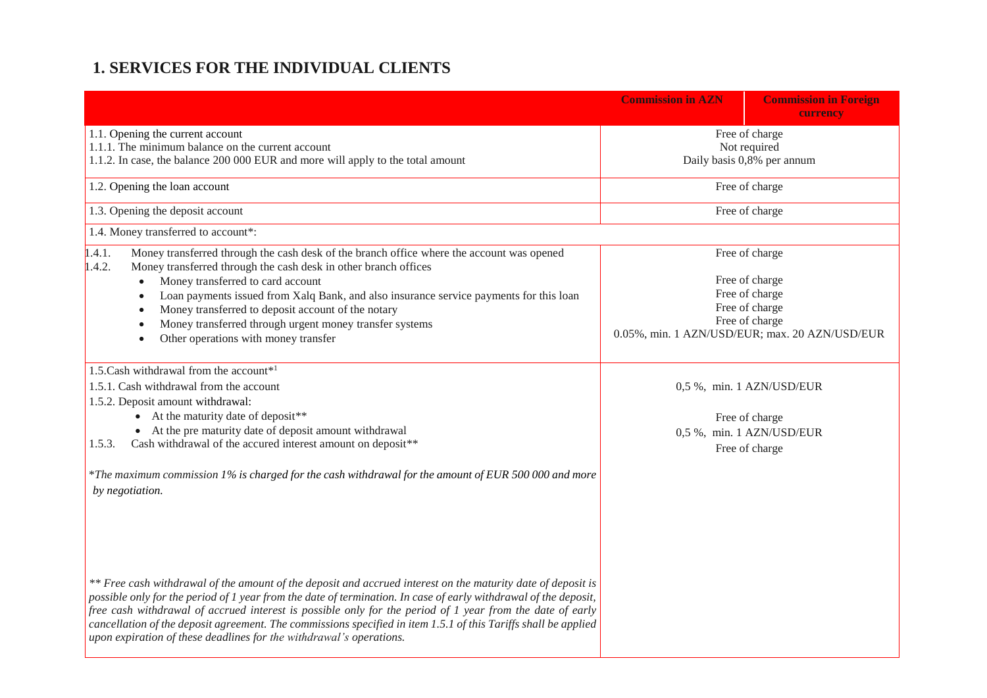# **1. SERVICES FOR THE INDIVIDUAL CLIENTS**

|                                                                                                                                                                                                                                                                                                                                                                                                                                                                                                                                         | <b>Commission in AZN</b>                                     | <b>Commission in Foreign</b><br>currency       |
|-----------------------------------------------------------------------------------------------------------------------------------------------------------------------------------------------------------------------------------------------------------------------------------------------------------------------------------------------------------------------------------------------------------------------------------------------------------------------------------------------------------------------------------------|--------------------------------------------------------------|------------------------------------------------|
| 1.1. Opening the current account<br>1.1.1. The minimum balance on the current account<br>1.1.2. In case, the balance 200 000 EUR and more will apply to the total amount                                                                                                                                                                                                                                                                                                                                                                | Free of charge<br>Not required<br>Daily basis 0,8% per annum |                                                |
| 1.2. Opening the loan account                                                                                                                                                                                                                                                                                                                                                                                                                                                                                                           |                                                              | Free of charge                                 |
| 1.3. Opening the deposit account                                                                                                                                                                                                                                                                                                                                                                                                                                                                                                        |                                                              | Free of charge                                 |
| 1.4. Money transferred to account*:                                                                                                                                                                                                                                                                                                                                                                                                                                                                                                     |                                                              |                                                |
| 1.4.1.<br>Money transferred through the cash desk of the branch office where the account was opened<br>1.4.2.<br>Money transferred through the cash desk in other branch offices                                                                                                                                                                                                                                                                                                                                                        |                                                              | Free of charge                                 |
| Money transferred to card account                                                                                                                                                                                                                                                                                                                                                                                                                                                                                                       |                                                              | Free of charge                                 |
| Loan payments issued from Xalq Bank, and also insurance service payments for this loan                                                                                                                                                                                                                                                                                                                                                                                                                                                  |                                                              | Free of charge<br>Free of charge               |
| Money transferred to deposit account of the notary<br>Money transferred through urgent money transfer systems                                                                                                                                                                                                                                                                                                                                                                                                                           |                                                              | Free of charge                                 |
| Other operations with money transfer                                                                                                                                                                                                                                                                                                                                                                                                                                                                                                    |                                                              | 0.05%, min. 1 AZN/USD/EUR; max. 20 AZN/USD/EUR |
| 1.5. Cash withdrawal from the account*1                                                                                                                                                                                                                                                                                                                                                                                                                                                                                                 |                                                              |                                                |
| 1.5.1. Cash withdrawal from the account                                                                                                                                                                                                                                                                                                                                                                                                                                                                                                 |                                                              | 0,5 %, min. 1 AZN/USD/EUR                      |
| 1.5.2. Deposit amount withdrawal:                                                                                                                                                                                                                                                                                                                                                                                                                                                                                                       |                                                              |                                                |
| • At the maturity date of deposit **                                                                                                                                                                                                                                                                                                                                                                                                                                                                                                    |                                                              | Free of charge                                 |
| • At the pre maturity date of deposit amount withdrawal                                                                                                                                                                                                                                                                                                                                                                                                                                                                                 |                                                              | 0,5 %, min. 1 AZN/USD/EUR                      |
| Cash withdrawal of the accured interest amount on deposit**<br>1.5.3.                                                                                                                                                                                                                                                                                                                                                                                                                                                                   |                                                              | Free of charge                                 |
| *The maximum commission 1% is charged for the cash withdrawal for the amount of EUR 500 000 and more<br>by negotiation.                                                                                                                                                                                                                                                                                                                                                                                                                 |                                                              |                                                |
|                                                                                                                                                                                                                                                                                                                                                                                                                                                                                                                                         |                                                              |                                                |
| ** Free cash withdrawal of the amount of the deposit and accrued interest on the maturity date of deposit is<br>possible only for the period of 1 year from the date of termination. In case of early withdrawal of the deposit,<br>free cash withdrawal of accrued interest is possible only for the period of 1 year from the date of early<br>cancellation of the deposit agreement. The commissions specified in item 1.5.1 of this Tariffs shall be applied<br>upon expiration of these deadlines for the withdrawal's operations. |                                                              |                                                |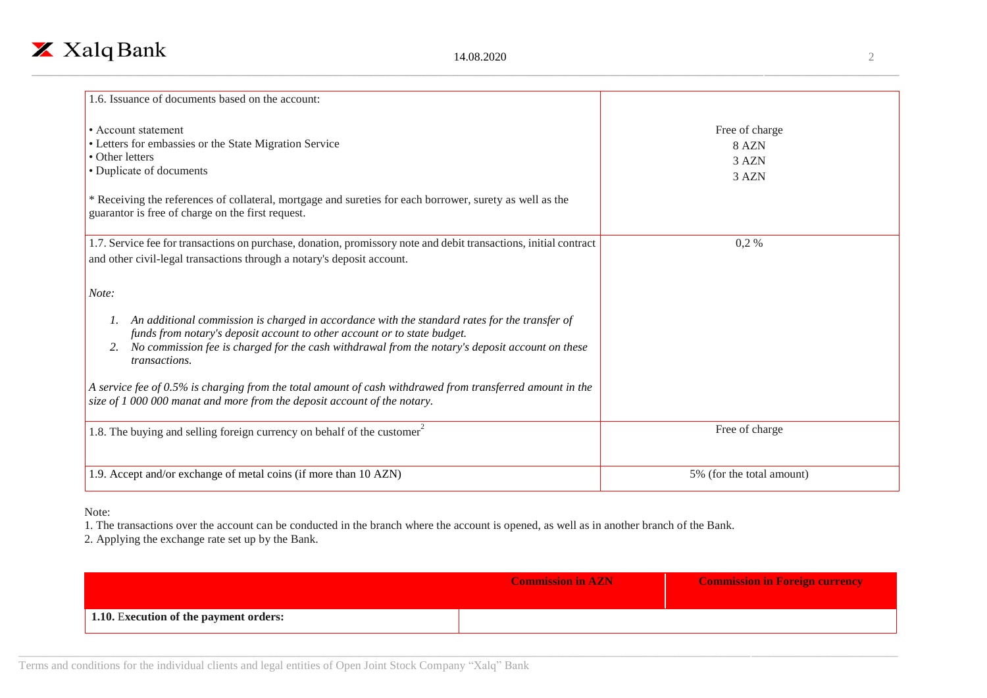

| 1.6. Issuance of documents based on the account:                                                                                                                                                                                                                                              |                                           |
|-----------------------------------------------------------------------------------------------------------------------------------------------------------------------------------------------------------------------------------------------------------------------------------------------|-------------------------------------------|
| • Account statement<br>• Letters for embassies or the State Migration Service<br>• Other letters<br>• Duplicate of documents<br>* Receiving the references of collateral, mortgage and sureties for each borrower, surety as well as the<br>guarantor is free of charge on the first request. | Free of charge<br>8 AZN<br>3 AZN<br>3 AZN |
| 1.7. Service fee for transactions on purchase, donation, promissory note and debit transactions, initial contract                                                                                                                                                                             | $0,2\%$                                   |
| and other civil-legal transactions through a notary's deposit account.                                                                                                                                                                                                                        |                                           |
| Note:                                                                                                                                                                                                                                                                                         |                                           |
| An additional commission is charged in accordance with the standard rates for the transfer of<br>funds from notary's deposit account to other account or to state budget.<br>No commission fee is charged for the cash withdrawal from the notary's deposit account on these<br>transactions. |                                           |
| A service fee of $0.5\%$ is charging from the total amount of cash withdrawed from transferred amount in the<br>size of 1 000 000 manat and more from the deposit account of the notary.                                                                                                      |                                           |
| 1.8. The buying and selling foreign currency on behalf of the customer                                                                                                                                                                                                                        | Free of charge                            |
| 1.9. Accept and/or exchange of metal coins (if more than 10 AZN)                                                                                                                                                                                                                              | 5% (for the total amount)                 |

### Note:

1. The transactions over the account can be conducted in the branch where the account is opened, as well as in another branch of the Bank.

2. Applying the exchange rate set up by the Bank.

|                                                      | <b>Commission in AZN</b> | <b>Commission in Foreign currency</b> |
|------------------------------------------------------|--------------------------|---------------------------------------|
| $\frac{1}{1}$ 1.10. Execution of the payment orders: |                          |                                       |

Terms and conditions for the individual clients and legal entities of Open Joint Stock Company "Xalq" Bank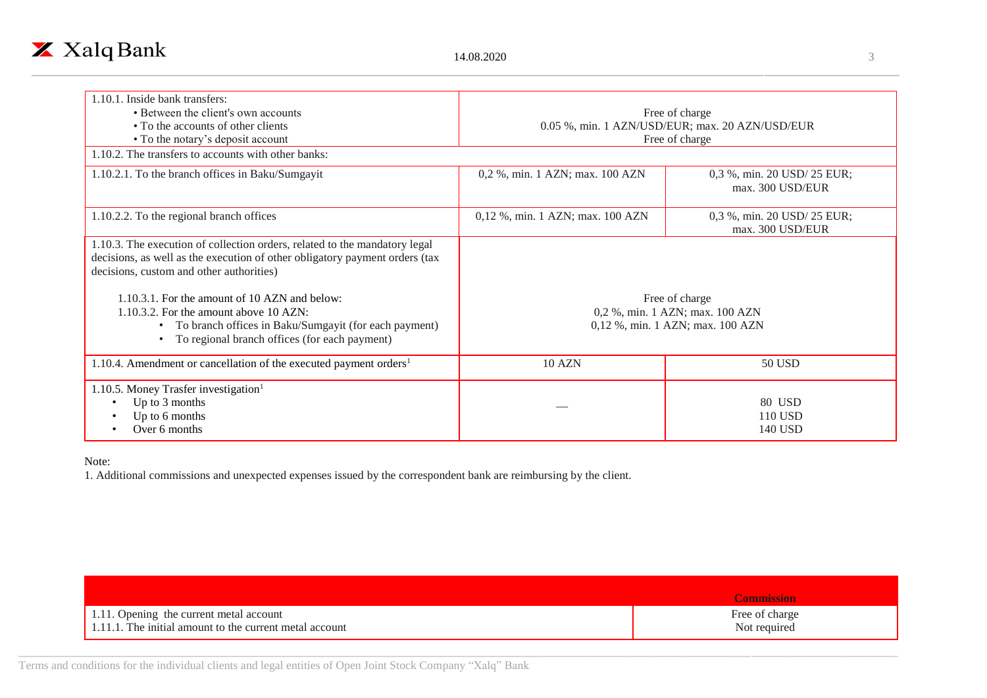

| 1.10.1. Inside bank transfers:<br>• Between the client's own accounts<br>• To the accounts of other clients<br>• To the notary's deposit account                                                                  | Free of charge<br>0.05 %, min. 1 AZN/USD/EUR; max. 20 AZN/USD/EUR<br>Free of charge   |                                                 |
|-------------------------------------------------------------------------------------------------------------------------------------------------------------------------------------------------------------------|---------------------------------------------------------------------------------------|-------------------------------------------------|
| 1.10.2. The transfers to accounts with other banks:                                                                                                                                                               |                                                                                       |                                                 |
| 1.10.2.1. To the branch offices in Baku/Sumgayit                                                                                                                                                                  | 0,2 %, min. 1 AZN; max. 100 AZN                                                       | 0,3 %, min. 20 USD/ 25 EUR;<br>max. 300 USD/EUR |
| 1.10.2.2. To the regional branch offices                                                                                                                                                                          | 0,12 %, min. 1 AZN; max. 100 AZN                                                      | 0,3 %, min. 20 USD/ 25 EUR;<br>max. 300 USD/EUR |
| 1.10.3. The execution of collection orders, related to the mandatory legal<br>decisions, as well as the execution of other obligatory payment orders (tax<br>decisions, custom and other authorities)             |                                                                                       |                                                 |
| 1.10.3.1. For the amount of 10 AZN and below:<br>$1.10.3.2$ . For the amount above 10 AZN:<br>To branch offices in Baku/Sumgayit (for each payment)<br>$\bullet$<br>To regional branch offices (for each payment) | Free of charge<br>0,2 %, min. 1 AZN; max. 100 AZN<br>0,12 %, min. 1 AZN; max. 100 AZN |                                                 |
| 1.10.4. Amendment or cancellation of the executed payment orders <sup>1</sup>                                                                                                                                     | 10 AZN                                                                                | 50 USD                                          |
| 1.10.5. Money Trasfer investigation <sup>1</sup><br>Up to 3 months<br>Up to 6 months<br>Over 6 months                                                                                                             |                                                                                       | 80 USD<br>110 USD<br>140 USD                    |

## Note:

1. Additional commissions and unexpected expenses issued by the correspondent bank are reimbursing by the client.

|                                                         | <b>Commission</b> |
|---------------------------------------------------------|-------------------|
| 1.11. Opening the current metal account                 | Free of charge    |
| 1.11.1. The initial amount to the current metal account | Not required      |

Terms and conditions for the individual clients and legal entities of Open Joint Stock Company "Xalq" Bank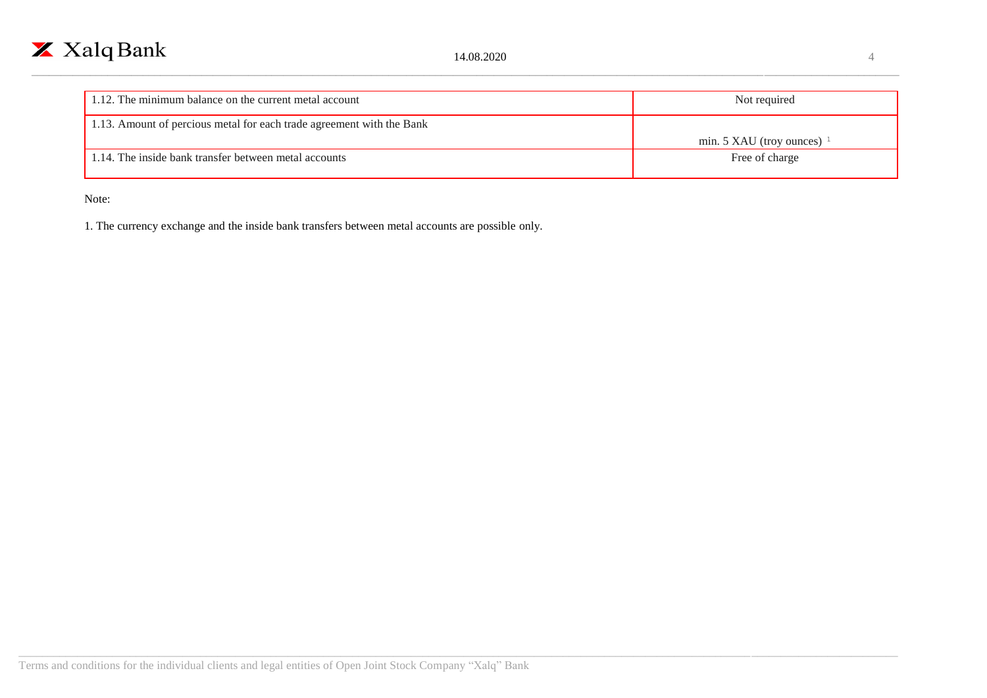| 1.12. The minimum balance on the current metal account                | Not required                 |
|-----------------------------------------------------------------------|------------------------------|
| 1.13. Amount of percious metal for each trade agreement with the Bank | min. 5 XAU (troy ounces) $1$ |
| 1.14. The inside bank transfer between metal accounts                 | Free of charge               |

Note:

1. The currency exchange and the inside bank transfers between metal accounts are possible only.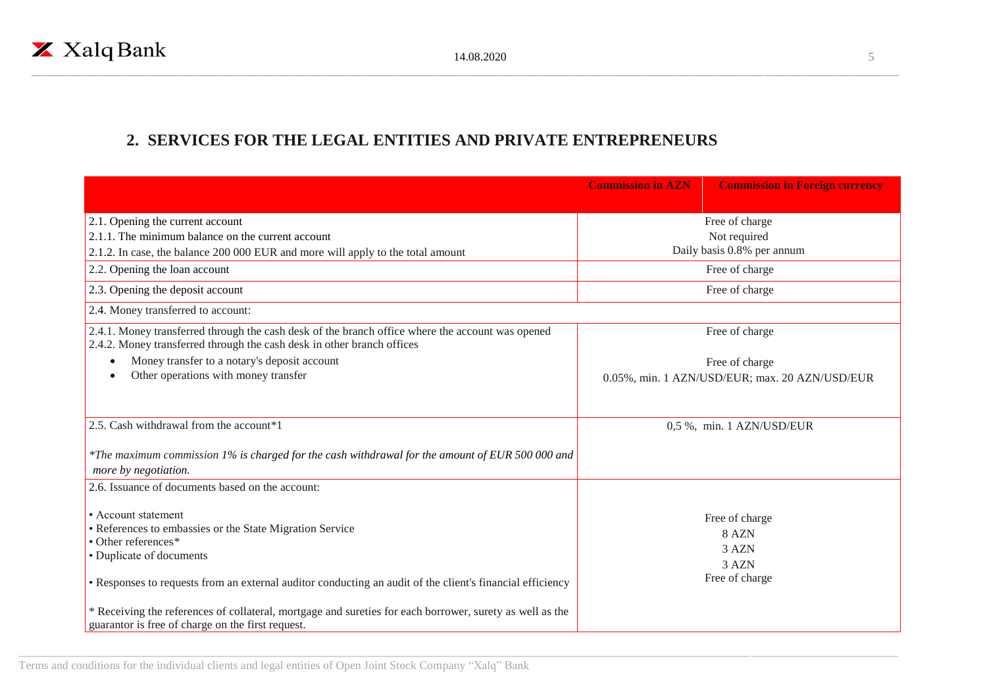# **2. SERVICES FOR THE LEGAL ENTITIES AND PRIVATE ENTREPRENEURS**

|                                                                                                                                                                                                                                                 | <b>Commission in AZN</b>       | <b>Commission in Foreign currency</b>                       |
|-------------------------------------------------------------------------------------------------------------------------------------------------------------------------------------------------------------------------------------------------|--------------------------------|-------------------------------------------------------------|
| 2.1. Opening the current account<br>2.1.1. The minimum balance on the current account                                                                                                                                                           | Free of charge<br>Not required |                                                             |
| 2.1.2. In case, the balance 200 000 EUR and more will apply to the total amount                                                                                                                                                                 |                                | Daily basis 0.8% per annum                                  |
| 2.2. Opening the loan account                                                                                                                                                                                                                   |                                | Free of charge                                              |
| 2.3. Opening the deposit account                                                                                                                                                                                                                |                                | Free of charge                                              |
| 2.4. Money transferred to account:                                                                                                                                                                                                              |                                |                                                             |
| 2.4.1. Money transferred through the cash desk of the branch office where the account was opened<br>2.4.2. Money transferred through the cash desk in other branch offices                                                                      |                                | Free of charge                                              |
| Money transfer to a notary's deposit account                                                                                                                                                                                                    |                                | Free of charge                                              |
| Other operations with money transfer                                                                                                                                                                                                            |                                | 0.05%, min. 1 AZN/USD/EUR; max. 20 AZN/USD/EUR              |
|                                                                                                                                                                                                                                                 |                                |                                                             |
| 2.5. Cash withdrawal from the account*1                                                                                                                                                                                                         |                                | 0,5 %, min. 1 AZN/USD/EUR                                   |
| *The maximum commission 1% is charged for the cash withdrawal for the amount of EUR 500 000 and<br>more by negotiation.                                                                                                                         |                                |                                                             |
| 2.6. Issuance of documents based on the account:                                                                                                                                                                                                |                                |                                                             |
| • Account statement<br>• References to embassies or the State Migration Service<br>• Other references*<br>• Duplicate of documents<br>• Responses to requests from an external auditor conducting an audit of the client's financial efficiency |                                | Free of charge<br>8 AZN<br>3 AZN<br>3 AZN<br>Free of charge |
| * Receiving the references of collateral, mortgage and sureties for each borrower, surety as well as the<br>guarantor is free of charge on the first request.                                                                                   |                                |                                                             |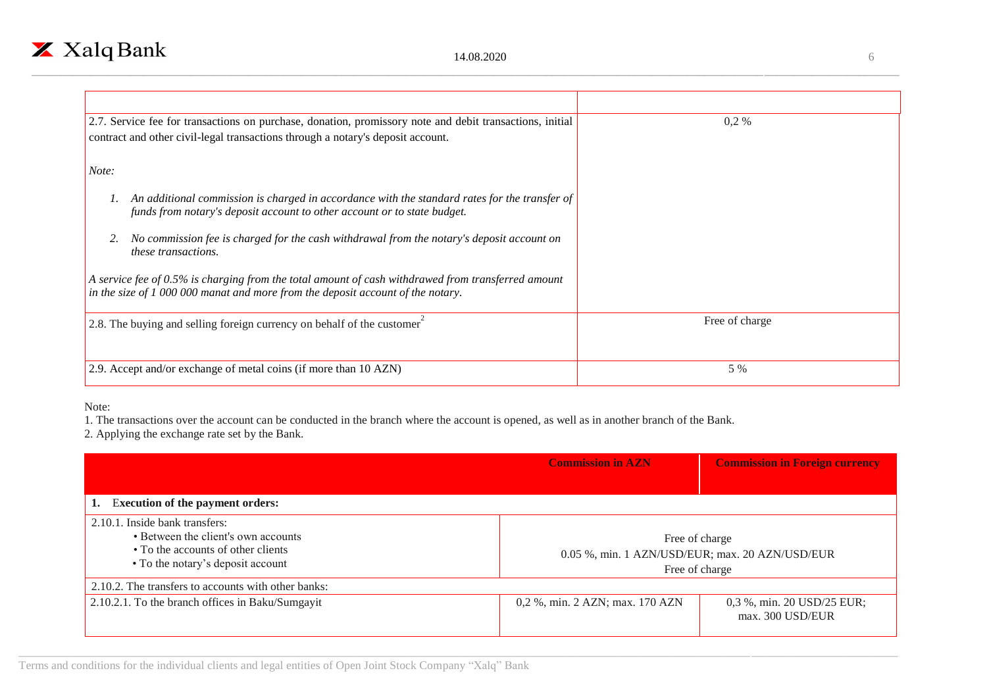| 2.7. Service fee for transactions on purchase, donation, promissory note and debit transactions, initial                                                                              | 0,2%           |
|---------------------------------------------------------------------------------------------------------------------------------------------------------------------------------------|----------------|
| contract and other civil-legal transactions through a notary's deposit account.                                                                                                       |                |
| Note:                                                                                                                                                                                 |                |
|                                                                                                                                                                                       |                |
| An additional commission is charged in accordance with the standard rates for the transfer of<br>funds from notary's deposit account to other account or to state budget.             |                |
| No commission fee is charged for the cash withdrawal from the notary's deposit account on<br><i>these transactions.</i>                                                               |                |
| A service fee of 0.5% is charging from the total amount of cash withdrawed from transferred amount<br>in the size of 1 000 000 manat and more from the deposit account of the notary. |                |
|                                                                                                                                                                                       |                |
| 2.8. The buying and selling foreign currency on behalf of the customer                                                                                                                | Free of charge |
|                                                                                                                                                                                       |                |
| 2.9. Accept and/or exchange of metal coins (if more than 10 AZN)                                                                                                                      | 5 %            |

Note:

1. The transactions over the account can be conducted in the branch where the account is opened, as well as in another branch of the Bank.

2. Applying the exchange rate set by the Bank.

|                                                                                                                                                  | <b>Commission in AZN</b>                                                            | <b>Commission in Foreign currency</b>          |
|--------------------------------------------------------------------------------------------------------------------------------------------------|-------------------------------------------------------------------------------------|------------------------------------------------|
|                                                                                                                                                  |                                                                                     |                                                |
| <b>Execution of the payment orders:</b>                                                                                                          |                                                                                     |                                                |
| 2.10.1. Inside bank transfers:<br>• Between the client's own accounts<br>• To the accounts of other clients<br>• To the notary's deposit account | Free of charge<br>0.05 %, min. 1 AZN/USD/EUR; max. 20 AZN/USD/EUR<br>Free of charge |                                                |
| 2.10.2. The transfers to accounts with other banks:                                                                                              |                                                                                     |                                                |
| 2.10.2.1. To the branch offices in Baku/Sumgayit                                                                                                 | 0,2 %, min. 2 AZN; max. 170 AZN                                                     | 0,3 %, min. 20 USD/25 EUR;<br>max. 300 USD/EUR |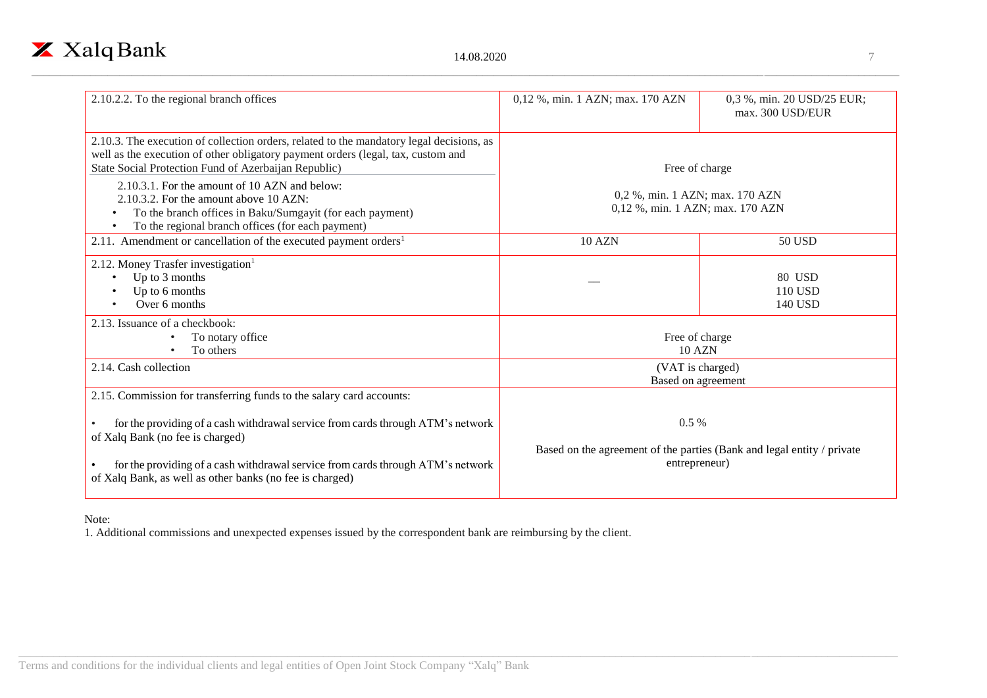

| 2.10.2.2. To the regional branch offices                                                                                                                                                                                                                                                                                                   | 0,12 %, min. 1 AZN; max. 170 AZN                                                                   | 0,3 %, min. 20 USD/25 EUR;<br>max. 300 USD/EUR |
|--------------------------------------------------------------------------------------------------------------------------------------------------------------------------------------------------------------------------------------------------------------------------------------------------------------------------------------------|----------------------------------------------------------------------------------------------------|------------------------------------------------|
| 2.10.3. The execution of collection orders, related to the mandatory legal decisions, as<br>well as the execution of other obligatory payment orders (legal, tax, custom and<br>State Social Protection Fund of Azerbaijan Republic)                                                                                                       | Free of charge                                                                                     |                                                |
| 2.10.3.1. For the amount of 10 AZN and below:<br>2.10.3.2. For the amount above 10 AZN:<br>To the branch offices in Baku/Sumgayit (for each payment)<br>To the regional branch offices (for each payment)                                                                                                                                  | 0,2 %, min. 1 AZN; max. 170 AZN<br>0,12 %, min. 1 AZN; max. 170 AZN                                |                                                |
| 2.11. Amendment or cancellation of the executed payment orders <sup>1</sup>                                                                                                                                                                                                                                                                | <b>10 AZN</b>                                                                                      | 50 USD                                         |
| 2.12. Money Trasfer investigation $1$<br>Up to 3 months<br>Up to 6 months<br>Over 6 months                                                                                                                                                                                                                                                 |                                                                                                    | 80 USD<br>110 USD<br>140 USD                   |
| 2.13. Issuance of a checkbook:<br>To notary office<br>To others                                                                                                                                                                                                                                                                            | Free of charge<br><b>10 AZN</b>                                                                    |                                                |
| 2.14. Cash collection                                                                                                                                                                                                                                                                                                                      | (VAT is charged)<br>Based on agreement                                                             |                                                |
| 2.15. Commission for transferring funds to the salary card accounts:<br>for the providing of a cash withdrawal service from cards through ATM's network<br>of Xalq Bank (no fee is charged)<br>for the providing of a cash withdrawal service from cards through ATM's network<br>of Xalq Bank, as well as other banks (no fee is charged) | $0.5\%$<br>Based on the agreement of the parties (Bank and legal entity / private<br>entrepreneur) |                                                |

## Note:

1. Additional commissions and unexpected expenses issued by the correspondent bank are reimbursing by the client.